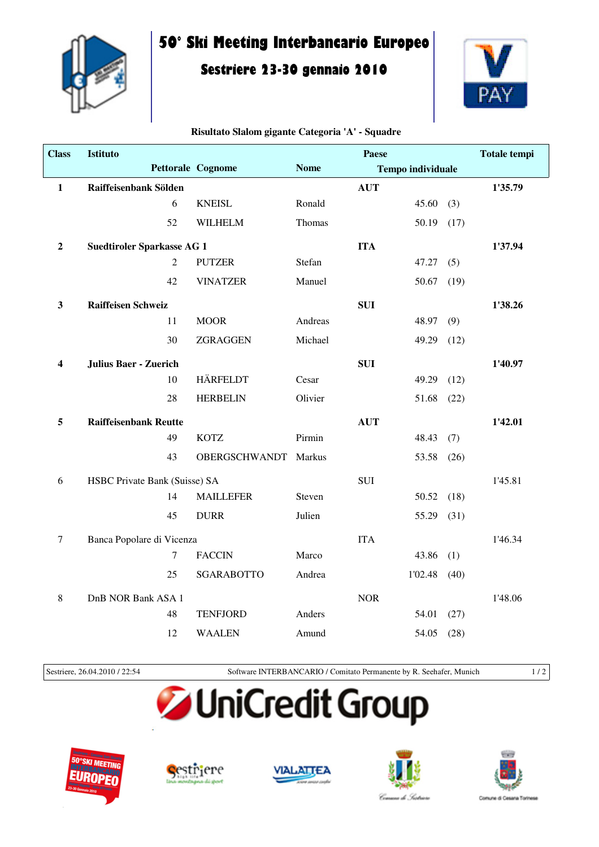

**Class Istituto**

## **50° Ski Meeting Interbancario Europeo**

## **Sestriere 23-30 gennaio 2010**



**Totale tempi**

## Pettorale Cognome Nome **Tempo individuale Paese 1 Raiffeisenbank Sölden AUT 1'35.79**

**Risultato Slalom gigante Categoria 'A' - Squadre**

| Ŧ,                      | <b>Kameisenbahk Soluen</b>        |                  |                      |         | AU 1       |         |      |         |
|-------------------------|-----------------------------------|------------------|----------------------|---------|------------|---------|------|---------|
|                         |                                   | 6                | <b>KNEISL</b>        | Ronald  |            | 45.60   | (3)  |         |
|                         |                                   | 52               | <b>WILHELM</b>       | Thomas  |            | 50.19   | (17) |         |
| $\boldsymbol{2}$        | <b>Suedtiroler Sparkasse AG 1</b> |                  |                      |         | <b>ITA</b> |         |      | 1'37.94 |
|                         |                                   | $\overline{2}$   | <b>PUTZER</b>        | Stefan  |            | 47.27   | (5)  |         |
|                         |                                   | 42               | <b>VINATZER</b>      | Manuel  |            | 50.67   | (19) |         |
| 3                       | <b>Raiffeisen Schweiz</b>         |                  |                      |         | <b>SUI</b> |         |      | 1'38.26 |
|                         |                                   | 11               | <b>MOOR</b>          | Andreas |            | 48.97   | (9)  |         |
|                         |                                   | 30               | ZGRAGGEN             | Michael |            | 49.29   | (12) |         |
| $\overline{\mathbf{4}}$ | <b>Julius Baer - Zuerich</b>      |                  |                      |         | <b>SUI</b> |         |      | 1'40.97 |
|                         |                                   | 10               | <b>HÄRFELDT</b>      | Cesar   |            | 49.29   | (12) |         |
|                         |                                   | 28               | <b>HERBELIN</b>      | Olivier |            | 51.68   | (22) |         |
| 5                       | <b>Raiffeisenbank Reutte</b>      |                  |                      |         | <b>AUT</b> |         |      | 1'42.01 |
|                         |                                   | 49               | <b>KOTZ</b>          | Pirmin  |            | 48.43   | (7)  |         |
|                         |                                   | 43               | <b>OBERGSCHWANDT</b> | Markus  |            | 53.58   | (26) |         |
| 6                       | HSBC Private Bank (Suisse) SA     |                  |                      |         | <b>SUI</b> |         |      | 1'45.81 |
|                         |                                   | 14               | <b>MAILLEFER</b>     | Steven  |            | 50.52   | (18) |         |
|                         |                                   | 45               | <b>DURR</b>          | Julien  |            | 55.29   | (31) |         |
| $\tau$                  | Banca Popolare di Vicenza         |                  |                      |         | <b>ITA</b> |         |      | 1'46.34 |
|                         |                                   | $\boldsymbol{7}$ | <b>FACCIN</b>        | Marco   |            | 43.86   | (1)  |         |
|                         |                                   | 25               | <b>SGARABOTTO</b>    | Andrea  |            | 1'02.48 | (40) |         |
| 8                       | DnB NOR Bank ASA 1                |                  |                      |         | <b>NOR</b> |         |      | 1'48.06 |
|                         |                                   | 48               | <b>TENFJORD</b>      | Anders  |            | 54.01   | (27) |         |
|                         |                                   | 12               | <b>WAALEN</b>        | Amund   |            | 54.05   | (28) |         |
|                         |                                   |                  |                      |         |            |         |      |         |

Sestriere, 26.04.2010 / 22:54 Software INTERBANCARIO / Comitato Permanente by R. Seehafer, Munich 1 / 2

## UniCredit Group